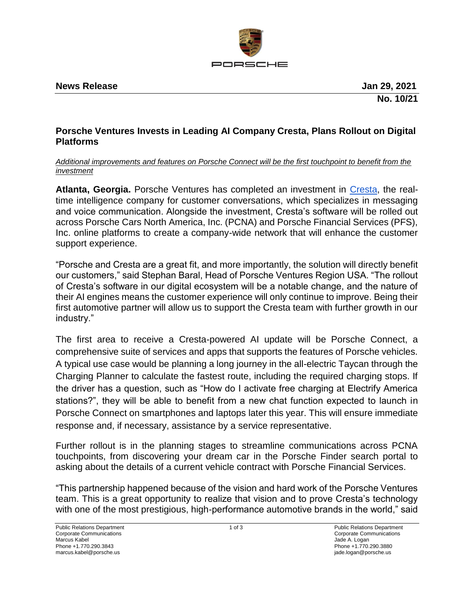

**News Release Jan 29, 2021** 

**No. 10/21**

# **Porsche Ventures Invests in Leading AI Company Cresta, Plans Rollout on Digital Platforms**

# *Additional improvements and features on Porsche Connect will be the first touchpoint to benefit from the investment*

**Atlanta, Georgia.** Porsche Ventures has completed an investment in [Cresta,](https://cresta.com/) the realtime intelligence company for customer conversations, which specializes in messaging and voice communication. Alongside the investment, Cresta's software will be rolled out across Porsche Cars North America, Inc. (PCNA) and Porsche Financial Services (PFS), Inc. online platforms to create a company-wide network that will enhance the customer support experience.

"Porsche and Cresta are a great fit, and more importantly, the solution will directly benefit our customers," said Stephan Baral, Head of Porsche Ventures Region USA. "The rollout of Cresta's software in our digital ecosystem will be a notable change, and the nature of their AI engines means the customer experience will only continue to improve. Being their first automotive partner will allow us to support the Cresta team with further growth in our industry."

The first area to receive a Cresta-powered AI update will be Porsche Connect, a comprehensive suite of services and apps that supports the features of Porsche vehicles. A typical use case would be planning a long journey in the all-electric Taycan through the Charging Planner to calculate the fastest route, including the required charging stops. If the driver has a question, such as "How do I activate free charging at Electrify America stations?", they will be able to benefit from a new chat function expected to launch in Porsche Connect on smartphones and laptops later this year. This will ensure immediate response and, if necessary, assistance by a service representative.

Further rollout is in the planning stages to streamline communications across PCNA touchpoints, from discovering your dream car in the Porsche Finder search portal to asking about the details of a current vehicle contract with Porsche Financial Services.

"This partnership happened because of the vision and hard work of the Porsche Ventures team. This is a great opportunity to realize that vision and to prove Cresta's technology with one of the most prestigious, high-performance automotive brands in the world," said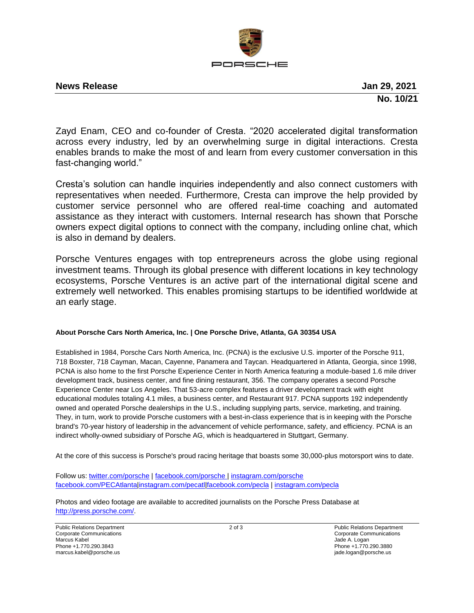

## **News Release Jan 29, 2021**

**No. 10/21**

Zayd Enam, CEO and co-founder of Cresta. "2020 accelerated digital transformation across every industry, led by an overwhelming surge in digital interactions. Cresta enables brands to make the most of and learn from every customer conversation in this fast-changing world."

Cresta's solution can handle inquiries independently and also connect customers with representatives when needed. Furthermore, Cresta can improve the help provided by customer service personnel who are offered real-time coaching and automated assistance as they interact with customers. Internal research has shown that Porsche owners expect digital options to connect with the company, including online chat, which is also in demand by dealers.

Porsche Ventures engages with top entrepreneurs across the globe using regional investment teams. Through its global presence with different locations in key technology ecosystems, Porsche Ventures is an active part of the international digital scene and extremely well networked. This enables promising startups to be identified worldwide at an early stage.

## **About Porsche Cars North America, Inc. | One Porsche Drive, Atlanta, GA 30354 USA**

Established in 1984, Porsche Cars North America, Inc. (PCNA) is the exclusive U.S. importer of the Porsche 911, 718 Boxster, 718 Cayman, Macan, Cayenne, Panamera and Taycan. Headquartered in Atlanta, Georgia, since 1998, PCNA is also home to the first Porsche Experience Center in North America featuring a module-based 1.6 mile driver development track, business center, and fine dining restaurant, 356. The company operates a second Porsche Experience Center near Los Angeles. That 53-acre complex features a driver development track with eight educational modules totaling 4.1 miles, a business center, and Restaurant 917. PCNA supports 192 independently owned and operated Porsche dealerships in the U.S., including supplying parts, service, marketing, and training. They, in turn, work to provide Porsche customers with a best-in-class experience that is in keeping with the Porsche brand's 70-year history of leadership in the advancement of vehicle performance, safety, and efficiency. PCNA is an indirect wholly-owned subsidiary of Porsche AG, which is headquartered in Stuttgart, Germany.

At the core of this success is Porsche's proud racing heritage that boasts some 30,000-plus motorsport wins to date.

Follow us: [twitter.com/porsche](http://twitter.com/porsche) | [facebook.com/porsche](http://facebook.com/porsche) | [instagram.com/porsche](https://instagram.com/porsche?igshid=n2ejm9hxrmpk) [facebook.com/PECAtlanta](https://www.facebook.com/PECAtlanta/)[|instagram.com/pecatl](https://instagram.com/pecatl?igshid=g22ei17d3nix)[|facebook.com/pecla](https://www.facebook.com/PorscheExperienceCenterLosAngeles/) | [instagram.com/pecla](https://instagram.com/pecla?igshid=unvn46lrvjtj)

Photos and video footage are available to accredited journalists on the Porsche Press Database at [http://press.porsche.com/.](http://press.porsche.com/)